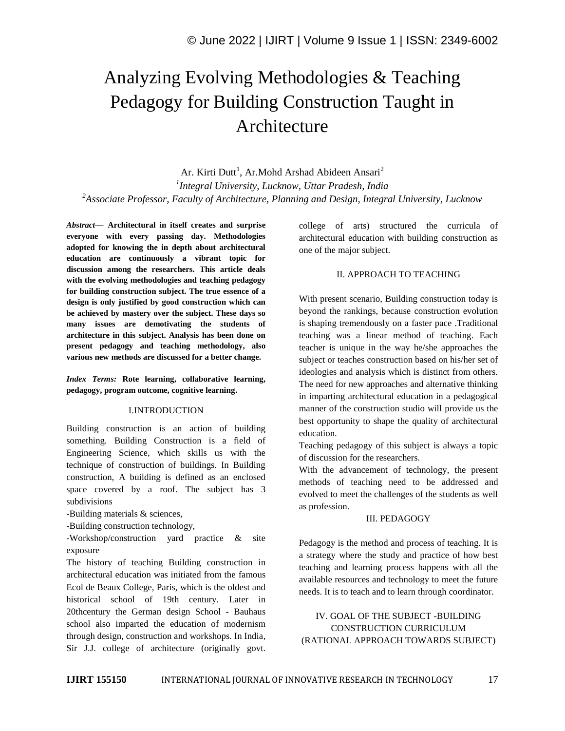# Analyzing Evolving Methodologies & Teaching Pedagogy for Building Construction Taught in Architecture

Ar. Kirti Dutt<sup>1</sup>, Ar.Mohd Arshad Abideen Ansari<sup>2</sup> *1 Integral University, Lucknow, Uttar Pradesh, India <sup>2</sup>Associate Professor, Faculty of Architecture, Planning and Design, Integral University, Lucknow*

*Abstract—* **Architectural in itself creates and surprise everyone with every passing day. Methodologies adopted for knowing the in depth about architectural education are continuously a vibrant topic for discussion among the researchers. This article deals with the evolving methodologies and teaching pedagogy for building construction subject. The true essence of a design is only justified by good construction which can be achieved by mastery over the subject. These days so many issues are demotivating the students of architecture in this subject. Analysis has been done on present pedagogy and teaching methodology, also various new methods are discussed for a better change.**

*Index Terms:* **Rote learning, collaborative learning, pedagogy, program outcome, cognitive learning.**

#### I.INTRODUCTION

Building construction is an action of building something. Building Construction is a field of Engineering Science, which skills us with the technique of construction of buildings. In Building construction, A building is defined as an enclosed space covered by a roof. The subject has 3 subdivisions

-Building materials & sciences,

-Building construction technology,

-Workshop/construction yard practice & site exposure

The history of teaching Building construction in architectural education was initiated from the famous Ecol de Beaux College, Paris, which is the oldest and historical school of 19th century. Later in 20thcentury the German design School - Bauhaus school also imparted the education of modernism through design, construction and workshops. In India, Sir J.J. college of architecture (originally govt.

college of arts) structured the curricula of architectural education with building construction as one of the major subject.

# II. APPROACH TO TEACHING

With present scenario, Building construction today is beyond the rankings, because construction evolution is shaping tremendously on a faster pace .Traditional teaching was a linear method of teaching. Each teacher is unique in the way he/she approaches the subject or teaches construction based on his/her set of ideologies and analysis which is distinct from others. The need for new approaches and alternative thinking in imparting architectural education in a pedagogical manner of the construction studio will provide us the best opportunity to shape the quality of architectural education.

Teaching pedagogy of this subject is always a topic of discussion for the researchers.

With the advancement of technology, the present methods of teaching need to be addressed and evolved to meet the challenges of the students as well as profession.

#### III. PEDAGOGY

Pedagogy is the method and process of teaching. It is a strategy where the study and practice of how best teaching and learning process happens with all the available resources and technology to meet the future needs. It is to teach and to learn through coordinator.

IV. GOAL OF THE SUBJECT -BUILDING CONSTRUCTION CURRICULUM (RATIONAL APPROACH TOWARDS SUBJECT)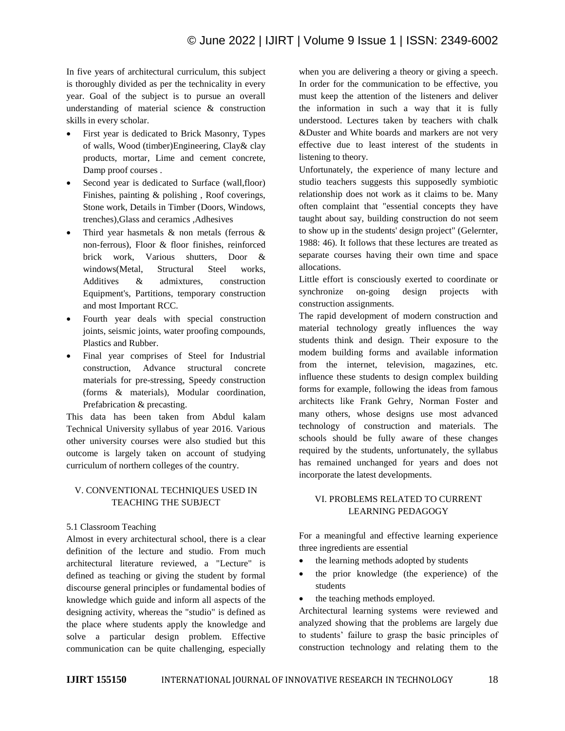In five years of architectural curriculum, this subject is thoroughly divided as per the technicality in every year. Goal of the subject is to pursue an overall understanding of material science & construction skills in every scholar.

- First year is dedicated to Brick Masonry, Types of walls, Wood (timber)Engineering, Clay& clay products, mortar, Lime and cement concrete, Damp proof courses .
- Second year is dedicated to Surface (wall,floor) Finishes, painting & polishing , Roof coverings, Stone work, Details in Timber (Doors, Windows, trenches),Glass and ceramics ,Adhesives
- Third year hasmetals & non metals (ferrous & non-ferrous), Floor & floor finishes, reinforced brick work, Various shutters, Door & windows(Metal, Structural Steel works, Additives & admixtures, construction Equipment's, Partitions, temporary construction and most Important RCC.
- Fourth year deals with special construction joints, seismic joints, water proofing compounds, Plastics and Rubber.
- Final year comprises of Steel for Industrial construction, Advance structural concrete materials for pre-stressing, Speedy construction (forms & materials), Modular coordination, Prefabrication & precasting.

This data has been taken from Abdul kalam Technical University syllabus of year 2016. Various other university courses were also studied but this outcome is largely taken on account of studying curriculum of northern colleges of the country.

# V. CONVENTIONAL TECHNIQUES USED IN TEACHING THE SUBJECT

# 5.1 Classroom Teaching

Almost in every architectural school, there is a clear definition of the lecture and studio. From much architectural literature reviewed, a "Lecture" is defined as teaching or giving the student by formal discourse general principles or fundamental bodies of knowledge which guide and inform all aspects of the designing activity, whereas the "studio" is defined as the place where students apply the knowledge and solve a particular design problem. Effective communication can be quite challenging, especially

when you are delivering a theory or giving a speech. In order for the communication to be effective, you must keep the attention of the listeners and deliver the information in such a way that it is fully understood. Lectures taken by teachers with chalk &Duster and White boards and markers are not very effective due to least interest of the students in listening to theory.

Unfortunately, the experience of many lecture and studio teachers suggests this supposedly symbiotic relationship does not work as it claims to be. Many often complaint that "essential concepts they have taught about say, building construction do not seem to show up in the students' design project" (Gelernter, 1988: 46). It follows that these lectures are treated as separate courses having their own time and space allocations.

Little effort is consciously exerted to coordinate or synchronize on-going design projects with construction assignments.

The rapid development of modern construction and material technology greatly influences the way students think and design. Their exposure to the modem building forms and available information from the internet, television, magazines, etc. influence these students to design complex building forms for example, following the ideas from famous architects like Frank Gehry, Norman Foster and many others, whose designs use most advanced technology of construction and materials. The schools should be fully aware of these changes required by the students, unfortunately, the syllabus has remained unchanged for years and does not incorporate the latest developments.

# VI. PROBLEMS RELATED TO CURRENT LEARNING PEDAGOGY

For a meaningful and effective learning experience three ingredients are essential

- the learning methods adopted by students
- the prior knowledge (the experience) of the students
- the teaching methods employed.

Architectural learning systems were reviewed and analyzed showing that the problems are largely due to students' failure to grasp the basic principles of construction technology and relating them to the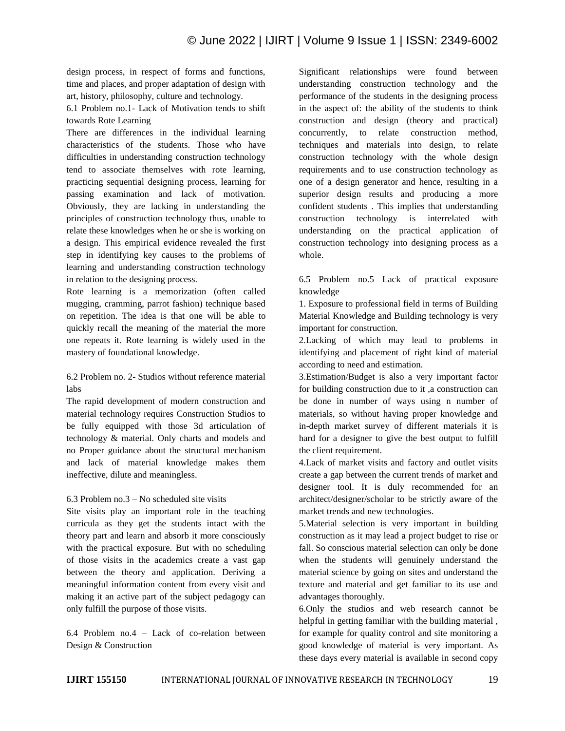design process, in respect of forms and functions, time and places, and proper adaptation of design with art, history, philosophy, culture and technology.

6.1 Problem no.1- Lack of Motivation tends to shift towards Rote Learning

There are differences in the individual learning characteristics of the students. Those who have difficulties in understanding construction technology tend to associate themselves with rote learning, practicing sequential designing process, learning for passing examination and lack of motivation. Obviously, they are lacking in understanding the principles of construction technology thus, unable to relate these knowledges when he or she is working on a design. This empirical evidence revealed the first step in identifying key causes to the problems of learning and understanding construction technology in relation to the designing process.

Rote learning is a memorization (often called mugging, cramming, parrot fashion) technique based on repetition. The idea is that one will be able to quickly recall the meaning of the material the more one repeats it. Rote learning is widely used in the mastery of foundational knowledge.

6.2 Problem no. 2- Studios without reference material labs

The rapid development of modern construction and material technology requires Construction Studios to be fully equipped with those 3d articulation of technology & material. Only charts and models and no Proper guidance about the structural mechanism and lack of material knowledge makes them ineffective, dilute and meaningless.

### 6.3 Problem no.3 – No scheduled site visits

Site visits play an important role in the teaching curricula as they get the students intact with the theory part and learn and absorb it more consciously with the practical exposure. But with no scheduling of those visits in the academics create a vast gap between the theory and application. Deriving a meaningful information content from every visit and making it an active part of the subject pedagogy can only fulfill the purpose of those visits.

6.4 Problem no.4 – Lack of co-relation between Design & Construction

Significant relationships were found between understanding construction technology and the performance of the students in the designing process in the aspect of: the ability of the students to think construction and design (theory and practical) concurrently, to relate construction method, techniques and materials into design, to relate construction technology with the whole design requirements and to use construction technology as one of a design generator and hence, resulting in a superior design results and producing a more confident students . This implies that understanding construction technology is interrelated with understanding on the practical application of construction technology into designing process as a whole.

6.5 Problem no.5 Lack of practical exposure knowledge

1. Exposure to professional field in terms of Building Material Knowledge and Building technology is very important for construction.

2.Lacking of which may lead to problems in identifying and placement of right kind of material according to need and estimation.

3.Estimation/Budget is also a very important factor for building construction due to it ,a construction can be done in number of ways using n number of materials, so without having proper knowledge and in-depth market survey of different materials it is hard for a designer to give the best output to fulfill the client requirement.

4.Lack of market visits and factory and outlet visits create a gap between the current trends of market and designer tool. It is duly recommended for an architect/designer/scholar to be strictly aware of the market trends and new technologies.

5.Material selection is very important in building construction as it may lead a project budget to rise or fall. So conscious material selection can only be done when the students will genuinely understand the material science by going on sites and understand the texture and material and get familiar to its use and advantages thoroughly.

6.Only the studios and web research cannot be helpful in getting familiar with the building material , for example for quality control and site monitoring a good knowledge of material is very important. As these days every material is available in second copy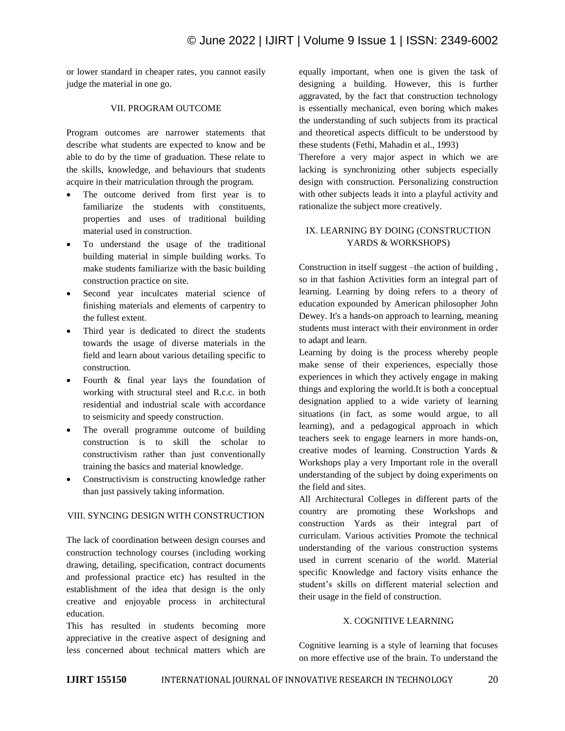or lower standard in cheaper rates, you cannot easily judge the material in one go.

# VII. PROGRAM OUTCOME

Program outcomes are narrower statements that describe what students are expected to know and be able to do by the time of graduation. These relate to the skills, knowledge, and behaviours that students acquire in their matriculation through the program.

- The outcome derived from first year is to familiarize the students with constituents, properties and uses of traditional building material used in construction.
- To understand the usage of the traditional building material in simple building works. To make students familiarize with the basic building construction practice on site.
- Second year inculcates material science of finishing materials and elements of carpentry to the fullest extent.
- Third year is dedicated to direct the students towards the usage of diverse materials in the field and learn about various detailing specific to construction.
- Fourth & final year lays the foundation of working with structural steel and R.c.c. in both residential and industrial scale with accordance to seismicity and speedy construction.
- The overall programme outcome of building construction is to skill the scholar to constructivism rather than just conventionally training the basics and material knowledge.
- Constructivism is constructing knowledge rather than just passively taking information.

#### VIII. SYNCING DESIGN WITH CONSTRUCTION

The lack of coordination between design courses and construction technology courses (including working drawing, detailing, specification, contract documents and professional practice etc) has resulted in the establishment of the idea that design is the only creative and enjoyable process in architectural education.

This has resulted in students becoming more appreciative in the creative aspect of designing and less concerned about technical matters which are equally important, when one is given the task of designing a building. However, this is further aggravated, by the fact that construction technology is essentially mechanical, even boring which makes the understanding of such subjects from its practical and theoretical aspects difficult to be understood by these students (Fethi, Mahadin et al., 1993)

Therefore a very major aspect in which we are lacking is synchronizing other subjects especially design with construction. Personalizing construction with other subjects leads it into a playful activity and rationalize the subject more creatively.

# IX. LEARNING BY DOING (CONSTRUCTION YARDS & WORKSHOPS)

Construction in itself suggest –the action of building , so in that fashion Activities form an integral part of learning. Learning by doing refers to a theory of education expounded by American philosopher John Dewey. It's a hands-on approach to learning, meaning students must interact with their environment in order to adapt and learn.

Learning by doing is the process whereby people make sense of their experiences, especially those experiences in which they actively engage in making things and exploring the world.It is both a conceptual designation applied to a wide variety of learning situations (in fact, as some would argue, to all learning), and a pedagogical approach in which teachers seek to engage learners in more hands-on, creative modes of learning. Construction Yards & Workshops play a very Important role in the overall understanding of the subject by doing experiments on the field and sites.

All Architectural Colleges in different parts of the country are promoting these Workshops and construction Yards as their integral part of curriculam. Various activities Promote the technical understanding of the various construction systems used in current scenario of the world. Material specific Knowledge and factory visits enhance the student's skills on different material selection and their usage in the field of construction.

# X. COGNITIVE LEARNING

Cognitive learning is a style of learning that focuses on more effective use of the brain. To understand the